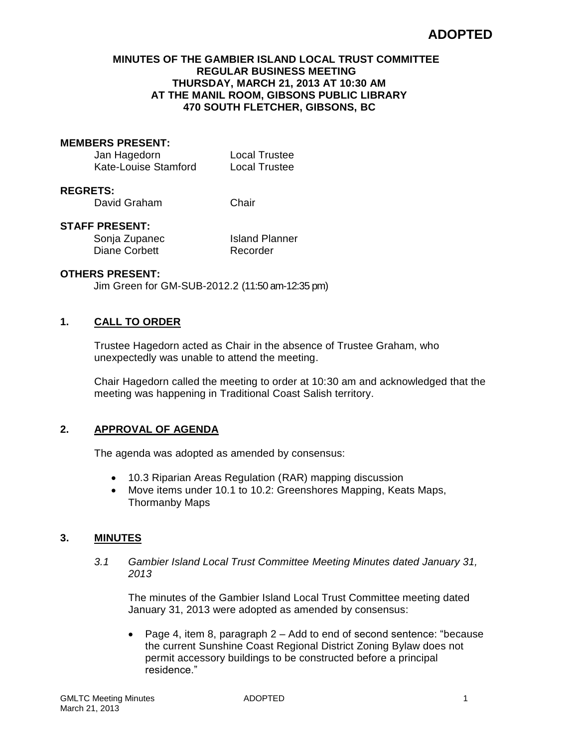# **ADOPTED**

#### **MINUTES OF THE GAMBIER ISLAND LOCAL TRUST COMMITTEE REGULAR BUSINESS MEETING THURSDAY, MARCH 21, 2013 AT 10:30 AM AT THE MANIL ROOM, GIBSONS PUBLIC LIBRARY 470 SOUTH FLETCHER, GIBSONS, BC**

#### **MEMBERS PRESENT:**

| Jan Hagedorn         | <b>Local Trustee</b> |
|----------------------|----------------------|
| Kate-Louise Stamford | <b>Local Trustee</b> |

#### **REGRETS:**

David Graham Chair

#### **STAFF PRESENT:**

Diane Corbett Recorder

Sonja Zupanec Island Planner

## **OTHERS PRESENT:**

Jim Green for GM-SUB-2012.2 (11:50 am-12:35 pm)

## **1. CALL TO ORDER**

Trustee Hagedorn acted as Chair in the absence of Trustee Graham, who unexpectedly was unable to attend the meeting.

Chair Hagedorn called the meeting to order at 10:30 am and acknowledged that the meeting was happening in Traditional Coast Salish territory.

## **2. APPROVAL OF AGENDA**

The agenda was adopted as amended by consensus:

- 10.3 Riparian Areas Regulation (RAR) mapping discussion
- Move items under 10.1 to 10.2: Greenshores Mapping, Keats Maps, Thormanby Maps

## **3. MINUTES**

*3.1 Gambier Island Local Trust Committee Meeting Minutes dated January 31, 2013*

The minutes of the Gambier Island Local Trust Committee meeting dated January 31, 2013 were adopted as amended by consensus:

 Page 4, item 8, paragraph 2 – Add to end of second sentence: "because the current Sunshine Coast Regional District Zoning Bylaw does not permit accessory buildings to be constructed before a principal residence."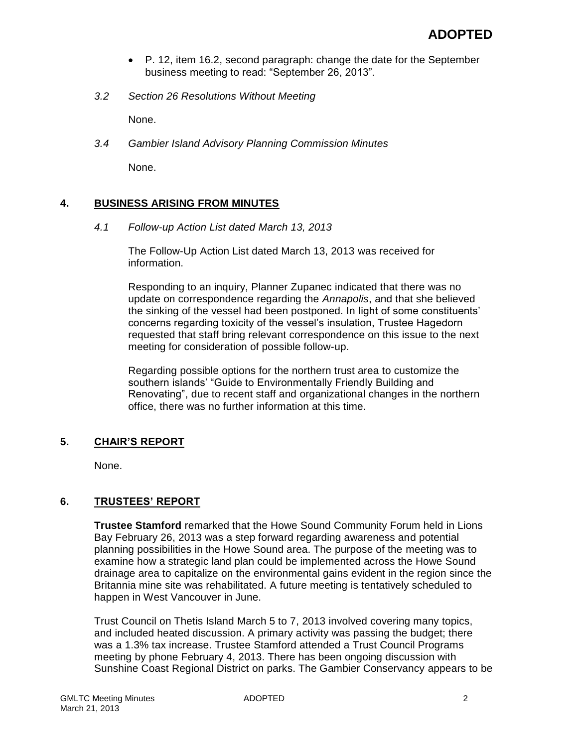- P. 12, item 16.2, second paragraph: change the date for the September business meeting to read: "September 26, 2013".
- *3.2 Section 26 Resolutions Without Meeting*

None.

*3.4 Gambier Island Advisory Planning Commission Minutes*

None.

#### **4. BUSINESS ARISING FROM MINUTES**

*4.1 Follow-up Action List dated March 13, 2013*

The Follow-Up Action List dated March 13, 2013 was received for information.

Responding to an inquiry, Planner Zupanec indicated that there was no update on correspondence regarding the *Annapolis*, and that she believed the sinking of the vessel had been postponed. In light of some constituents' concerns regarding toxicity of the vessel's insulation, Trustee Hagedorn requested that staff bring relevant correspondence on this issue to the next meeting for consideration of possible follow-up.

Regarding possible options for the northern trust area to customize the southern islands' "Guide to Environmentally Friendly Building and Renovating", due to recent staff and organizational changes in the northern office, there was no further information at this time.

## **5. CHAIR'S REPORT**

None.

## **6. TRUSTEES' REPORT**

**Trustee Stamford** remarked that the Howe Sound Community Forum held in Lions Bay February 26, 2013 was a step forward regarding awareness and potential planning possibilities in the Howe Sound area. The purpose of the meeting was to examine how a strategic land plan could be implemented across the Howe Sound drainage area to capitalize on the environmental gains evident in the region since the Britannia mine site was rehabilitated. A future meeting is tentatively scheduled to happen in West Vancouver in June.

Trust Council on Thetis Island March 5 to 7, 2013 involved covering many topics, and included heated discussion. A primary activity was passing the budget; there was a 1.3% tax increase. Trustee Stamford attended a Trust Council Programs meeting by phone February 4, 2013. There has been ongoing discussion with Sunshine Coast Regional District on parks. The Gambier Conservancy appears to be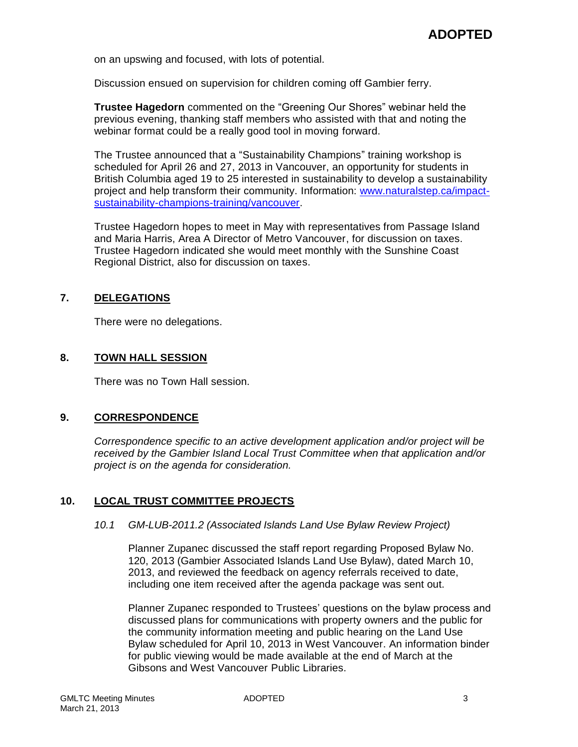on an upswing and focused, with lots of potential.

Discussion ensued on supervision for children coming off Gambier ferry.

**Trustee Hagedorn** commented on the "Greening Our Shores" webinar held the previous evening, thanking staff members who assisted with that and noting the webinar format could be a really good tool in moving forward.

The Trustee announced that a "Sustainability Champions" training workshop is scheduled for April 26 and 27, 2013 in Vancouver, an opportunity for students in British Columbia aged 19 to 25 interested in sustainability to develop a sustainability project and help transform their community. Information: [www.naturalstep.ca/impact](http://www.naturalstep.ca/impact-sustainability-champions-training/vancouver)[sustainability-champions-training/vancouver.](http://www.naturalstep.ca/impact-sustainability-champions-training/vancouver)

Trustee Hagedorn hopes to meet in May with representatives from Passage Island and Maria Harris, Area A Director of Metro Vancouver, for discussion on taxes. Trustee Hagedorn indicated she would meet monthly with the Sunshine Coast Regional District, also for discussion on taxes.

## **7. DELEGATIONS**

There were no delegations.

## **8. TOWN HALL SESSION**

There was no Town Hall session.

#### **9. CORRESPONDENCE**

*Correspondence specific to an active development application and/or project will be received by the Gambier Island Local Trust Committee when that application and/or project is on the agenda for consideration.*

## **10. LOCAL TRUST COMMITTEE PROJECTS**

#### *10.1 GM-LUB-2011.2 (Associated Islands Land Use Bylaw Review Project)*

Planner Zupanec discussed the staff report regarding Proposed Bylaw No. 120, 2013 (Gambier Associated Islands Land Use Bylaw), dated March 10, 2013, and reviewed the feedback on agency referrals received to date, including one item received after the agenda package was sent out.

Planner Zupanec responded to Trustees' questions on the bylaw process and discussed plans for communications with property owners and the public for the community information meeting and public hearing on the Land Use Bylaw scheduled for April 10, 2013 in West Vancouver. An information binder for public viewing would be made available at the end of March at the Gibsons and West Vancouver Public Libraries.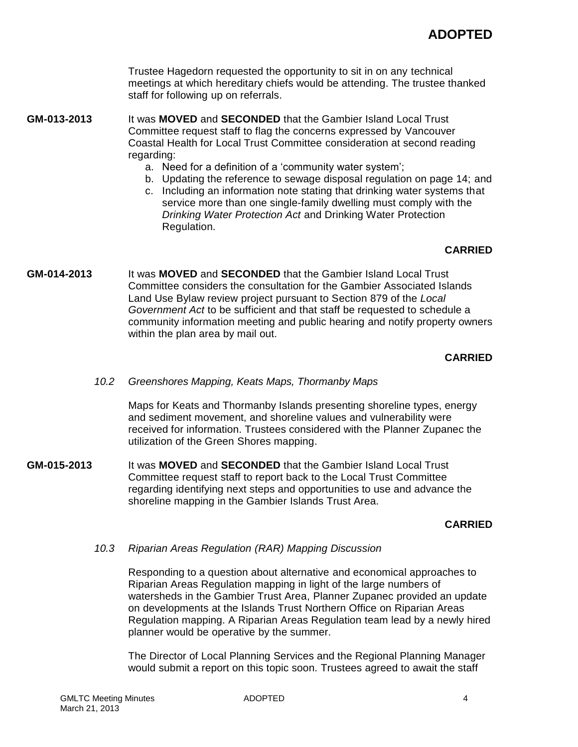Trustee Hagedorn requested the opportunity to sit in on any technical meetings at which hereditary chiefs would be attending. The trustee thanked staff for following up on referrals.

**GM-013-2013** It was **MOVED** and **SECONDED** that the Gambier Island Local Trust Committee request staff to flag the concerns expressed by Vancouver Coastal Health for Local Trust Committee consideration at second reading regarding:

- a. Need for a definition of a 'community water system';
- b. Updating the reference to sewage disposal regulation on page 14; and
- c. Including an information note stating that drinking water systems that service more than one single-family dwelling must comply with the *Drinking Water Protection Act* and Drinking Water Protection Regulation.

## **CARRIED**

**GM-014-2013** It was **MOVED** and **SECONDED** that the Gambier Island Local Trust Committee considers the consultation for the Gambier Associated Islands Land Use Bylaw review project pursuant to Section 879 of the *Local Government Act* to be sufficient and that staff be requested to schedule a community information meeting and public hearing and notify property owners within the plan area by mail out.

## **CARRIED**

*10.2 Greenshores Mapping, Keats Maps, Thormanby Maps*

Maps for Keats and Thormanby Islands presenting shoreline types, energy and sediment movement, and shoreline values and vulnerability were received for information. Trustees considered with the Planner Zupanec the utilization of the Green Shores mapping.

**GM-015-2013** It was **MOVED** and **SECONDED** that the Gambier Island Local Trust Committee request staff to report back to the Local Trust Committee regarding identifying next steps and opportunities to use and advance the shoreline mapping in the Gambier Islands Trust Area.

## **CARRIED**

*10.3 Riparian Areas Regulation (RAR) Mapping Discussion*

Responding to a question about alternative and economical approaches to Riparian Areas Regulation mapping in light of the large numbers of watersheds in the Gambier Trust Area, Planner Zupanec provided an update on developments at the Islands Trust Northern Office on Riparian Areas Regulation mapping. A Riparian Areas Regulation team lead by a newly hired planner would be operative by the summer.

The Director of Local Planning Services and the Regional Planning Manager would submit a report on this topic soon. Trustees agreed to await the staff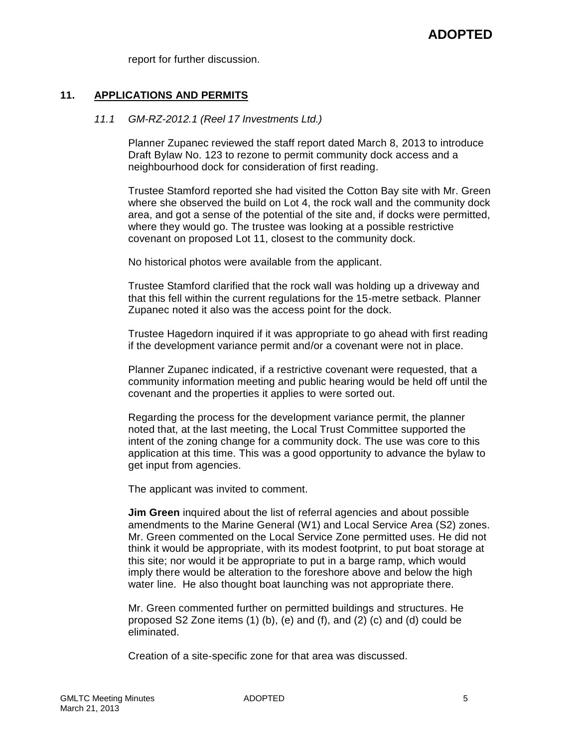report for further discussion.

## **11. APPLICATIONS AND PERMITS**

#### *11.1 GM-RZ-2012.1 (Reel 17 Investments Ltd.)*

Planner Zupanec reviewed the staff report dated March 8, 2013 to introduce Draft Bylaw No. 123 to rezone to permit community dock access and a neighbourhood dock for consideration of first reading.

Trustee Stamford reported she had visited the Cotton Bay site with Mr. Green where she observed the build on Lot 4, the rock wall and the community dock area, and got a sense of the potential of the site and, if docks were permitted, where they would go. The trustee was looking at a possible restrictive covenant on proposed Lot 11, closest to the community dock.

No historical photos were available from the applicant.

Trustee Stamford clarified that the rock wall was holding up a driveway and that this fell within the current regulations for the 15-metre setback. Planner Zupanec noted it also was the access point for the dock.

Trustee Hagedorn inquired if it was appropriate to go ahead with first reading if the development variance permit and/or a covenant were not in place.

Planner Zupanec indicated, if a restrictive covenant were requested, that a community information meeting and public hearing would be held off until the covenant and the properties it applies to were sorted out.

Regarding the process for the development variance permit, the planner noted that, at the last meeting, the Local Trust Committee supported the intent of the zoning change for a community dock. The use was core to this application at this time. This was a good opportunity to advance the bylaw to get input from agencies.

The applicant was invited to comment.

**Jim Green** inquired about the list of referral agencies and about possible amendments to the Marine General (W1) and Local Service Area (S2) zones. Mr. Green commented on the Local Service Zone permitted uses. He did not think it would be appropriate, with its modest footprint, to put boat storage at this site; nor would it be appropriate to put in a barge ramp, which would imply there would be alteration to the foreshore above and below the high water line. He also thought boat launching was not appropriate there.

Mr. Green commented further on permitted buildings and structures. He proposed S2 Zone items  $(1)$  (b), (e) and  $(f)$ , and  $(2)$  (c) and  $(d)$  could be eliminated.

Creation of a site-specific zone for that area was discussed.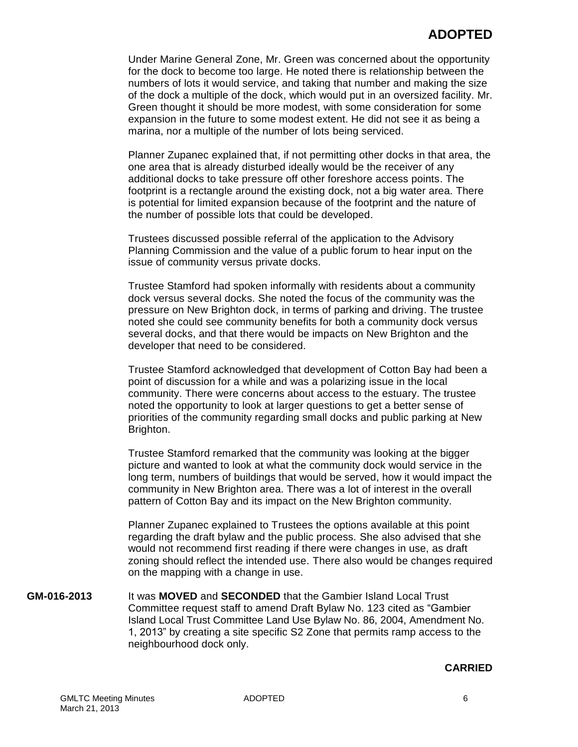Under Marine General Zone, Mr. Green was concerned about the opportunity for the dock to become too large. He noted there is relationship between the numbers of lots it would service, and taking that number and making the size of the dock a multiple of the dock, which would put in an oversized facility. Mr. Green thought it should be more modest, with some consideration for some expansion in the future to some modest extent. He did not see it as being a marina, nor a multiple of the number of lots being serviced.

Planner Zupanec explained that, if not permitting other docks in that area, the one area that is already disturbed ideally would be the receiver of any additional docks to take pressure off other foreshore access points. The footprint is a rectangle around the existing dock, not a big water area. There is potential for limited expansion because of the footprint and the nature of the number of possible lots that could be developed.

Trustees discussed possible referral of the application to the Advisory Planning Commission and the value of a public forum to hear input on the issue of community versus private docks.

Trustee Stamford had spoken informally with residents about a community dock versus several docks. She noted the focus of the community was the pressure on New Brighton dock, in terms of parking and driving. The trustee noted she could see community benefits for both a community dock versus several docks, and that there would be impacts on New Brighton and the developer that need to be considered.

Trustee Stamford acknowledged that development of Cotton Bay had been a point of discussion for a while and was a polarizing issue in the local community. There were concerns about access to the estuary. The trustee noted the opportunity to look at larger questions to get a better sense of priorities of the community regarding small docks and public parking at New Brighton.

Trustee Stamford remarked that the community was looking at the bigger picture and wanted to look at what the community dock would service in the long term, numbers of buildings that would be served, how it would impact the community in New Brighton area. There was a lot of interest in the overall pattern of Cotton Bay and its impact on the New Brighton community.

Planner Zupanec explained to Trustees the options available at this point regarding the draft bylaw and the public process. She also advised that she would not recommend first reading if there were changes in use, as draft zoning should reflect the intended use. There also would be changes required on the mapping with a change in use.

**GM-016-2013** It was **MOVED** and **SECONDED** that the Gambier Island Local Trust Committee request staff to amend Draft Bylaw No. 123 cited as "Gambier Island Local Trust Committee Land Use Bylaw No. 86, 2004, Amendment No. 1, 2013" by creating a site specific S2 Zone that permits ramp access to the neighbourhood dock only.

#### **CARRIED**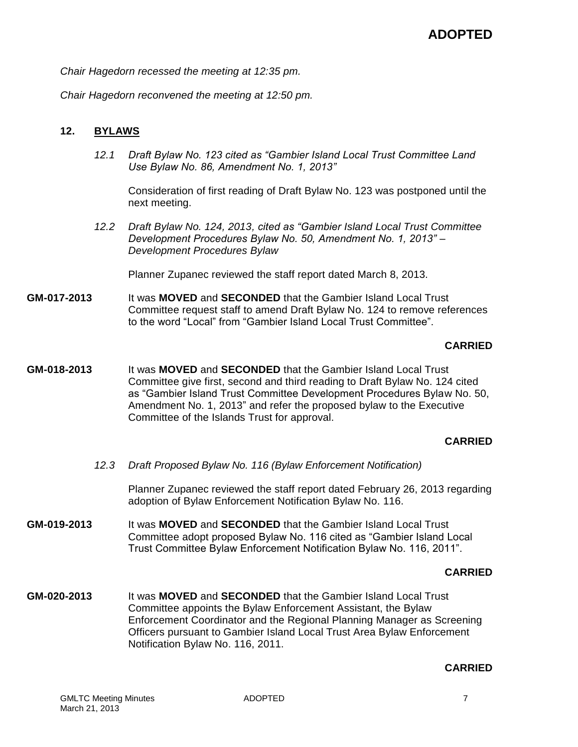*Chair Hagedorn recessed the meeting at 12:35 pm.*

*Chair Hagedorn reconvened the meeting at 12:50 pm.*

## **12. BYLAWS**

*12.1 Draft Bylaw No. 123 cited as "Gambier Island Local Trust Committee Land Use Bylaw No. 86, Amendment No. 1, 2013"*

Consideration of first reading of Draft Bylaw No. 123 was postponed until the next meeting.

*12.2 Draft Bylaw No. 124, 2013, cited as "Gambier Island Local Trust Committee Development Procedures Bylaw No. 50, Amendment No. 1, 2013" – Development Procedures Bylaw*

Planner Zupanec reviewed the staff report dated March 8, 2013.

**GM-017-2013** It was **MOVED** and **SECONDED** that the Gambier Island Local Trust Committee request staff to amend Draft Bylaw No. 124 to remove references to the word "Local" from "Gambier Island Local Trust Committee".

## **CARRIED**

**GM-018-2013** It was **MOVED** and **SECONDED** that the Gambier Island Local Trust Committee give first, second and third reading to Draft Bylaw No. 124 cited as "Gambier Island Trust Committee Development Procedures Bylaw No. 50, Amendment No. 1, 2013" and refer the proposed bylaw to the Executive Committee of the Islands Trust for approval.

#### **CARRIED**

*12.3 Draft Proposed Bylaw No. 116 (Bylaw Enforcement Notification)*

Planner Zupanec reviewed the staff report dated February 26, 2013 regarding adoption of Bylaw Enforcement Notification Bylaw No. 116.

**GM-019-2013** It was **MOVED** and **SECONDED** that the Gambier Island Local Trust Committee adopt proposed Bylaw No. 116 cited as "Gambier Island Local Trust Committee Bylaw Enforcement Notification Bylaw No. 116, 2011".

## **CARRIED**

**GM-020-2013** It was **MOVED** and **SECONDED** that the Gambier Island Local Trust Committee appoints the Bylaw Enforcement Assistant, the Bylaw Enforcement Coordinator and the Regional Planning Manager as Screening Officers pursuant to Gambier Island Local Trust Area Bylaw Enforcement Notification Bylaw No. 116, 2011.

#### **CARRIED**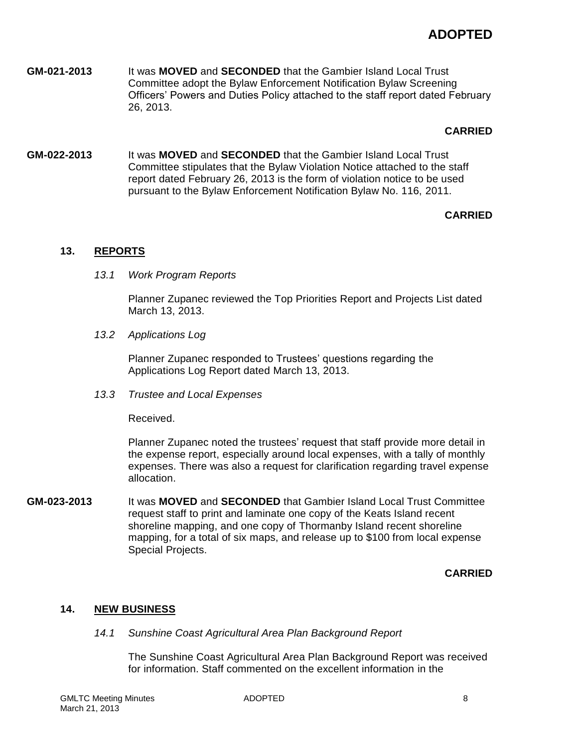# **ADOPTED**

**GM-021-2013** It was **MOVED** and **SECONDED** that the Gambier Island Local Trust Committee adopt the Bylaw Enforcement Notification Bylaw Screening Officers' Powers and Duties Policy attached to the staff report dated February 26, 2013.

## **CARRIED**

**GM-022-2013** It was **MOVED** and **SECONDED** that the Gambier Island Local Trust Committee stipulates that the Bylaw Violation Notice attached to the staff report dated February 26, 2013 is the form of violation notice to be used pursuant to the Bylaw Enforcement Notification Bylaw No. 116, 2011.

# **CARRIED**

# **13. REPORTS**

*13.1 Work Program Reports*

Planner Zupanec reviewed the Top Priorities Report and Projects List dated March 13, 2013.

*13.2 Applications Log*

Planner Zupanec responded to Trustees' questions regarding the Applications Log Report dated March 13, 2013.

*13.3 Trustee and Local Expenses*

Received.

Planner Zupanec noted the trustees' request that staff provide more detail in the expense report, especially around local expenses, with a tally of monthly expenses. There was also a request for clarification regarding travel expense allocation.

**GM-023-2013** It was **MOVED** and **SECONDED** that Gambier Island Local Trust Committee request staff to print and laminate one copy of the Keats Island recent shoreline mapping, and one copy of Thormanby Island recent shoreline mapping, for a total of six maps, and release up to \$100 from local expense Special Projects.

# **CARRIED**

# **14. NEW BUSINESS**

*14.1 Sunshine Coast Agricultural Area Plan Background Report*

The Sunshine Coast Agricultural Area Plan Background Report was received for information. Staff commented on the excellent information in the